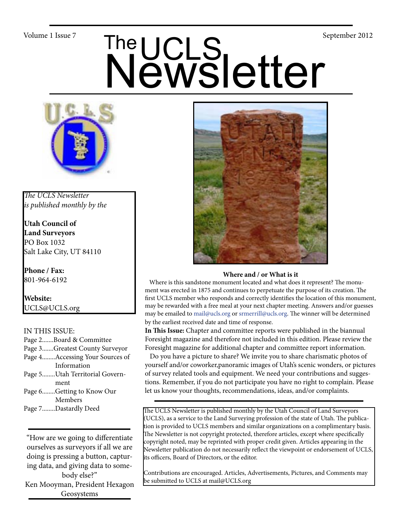# Volume 1 Issue 7<br>
Newsletter



*The UCLS Newsletter is published monthly by the*

**Utah Council of Land Surveyors** PO Box 1032 Salt Lake City, UT 84110

**Phone / Fax:**  801-964-6192

**Website:** UCLS@UCLS.org

# IN THIS ISSUE:

- Page 2.......Board & Committee Page 3.......Greatest County Surveyor Page 4........Accessing Your Sources of Information
- Page 5........Utah Territorial Govern ment
- Page 6........Getting to Know Our Members
- Page 7........Dastardly Deed

"How are we going to differentiate ourselves as surveyors if all we are doing is pressing a button, capturing data, and giving data to somebody else?" Ken Mooyman, President Hexagon Geosystems



#### **Where and / or What is it**

 Where is this sandstone monument located and what does it represent? The monument was erected in 1875 and continues to perpetuate the purpose of its creation. The first UCLS member who responds and correctly identifies the location of this monument, may be rewarded with a free meal at your next chapter meeting. Answers and/or guesses may be emailed to mail@ucls.org or srmerrill@ucls.org. The winner will be determined by the earliest received date and time of response.

**In This Issue:** Chapter and committee reports were published in the biannual Foresight magazine and therefore not included in this edition. Please review the Foresight magazine for additional chapter and committee report information.

 Do you have a picture to share? We invite you to share charismatic photos of yourself and/or coworker,panoramic images of Utah's scenic wonders, or pictures of survey related tools and equipment. We need your contributions and suggestions. Remember, if you do not participate you have no right to complain. Please let us know your thoughts, recommendations, ideas, and/or complaints.

The UCLS Newsletter is published monthly by the Utah Council of Land Surveyors (UCLS), as a service to the Land Surveying profession of the state of Utah. The publication is provided to UCLS members and similar organizations on a complimentary basis. The Newsletter is not copyright protected, therefore articles, except where specifically copyright noted, may be reprinted with proper credit given. Articles appearing in the Newsletter publication do not necessarily reflect the viewpoint or endorsement of UCLS, its officers, Board of Directors, or the editor.

Contributions are encouraged. Articles, Advertisements, Pictures, and Comments may be submitted to UCLS at mail@UCLS.org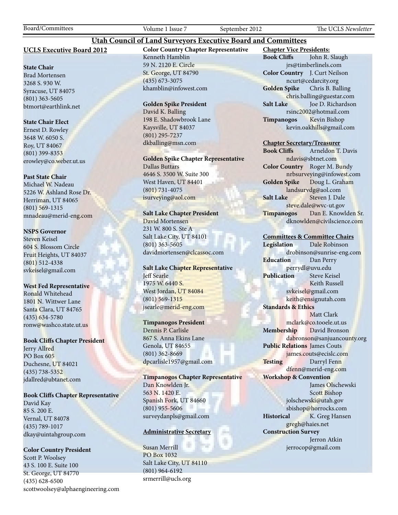Board/Committees Volume 1 Issue 7 September 2012 The UCLS *Newsletter*

### **UCLS Executive Board 2012**

#### **State Chair**

Brad Mortensen 3268 S. 930 W. Syracuse, UT 84075 (801) 363-5605 btmort@earthlink.net

#### **State Chair Elect**

Ernest D. Rowley 3648 W. 6050 S. Roy, UT 84067 (801) 399-8353 erowley@co.weber.ut.us

#### **Past State Chair**

Michael W. Nadeau 5226 W. Ashland Rose Dr. Herriman, UT 84065 (801) 569-1315 mnadeau@merid-eng.com

#### **NSPS Governor**

Steven Keisel 604 S. Blossom Circle Fruit Heights, UT 84037 (801) 512-4338 svkeisel@gmail.com

#### **West Fed Representative**

Ronald Whitehead 1801 N. Wittwer Lane Santa Clara, UT 84765 (435) 634-5780 ronw@washco.state.ut.us

#### **Book Cliffs Chapter President**

Jerry Allred PO Box 605 Duchesne, UT 84021 (435) 738-5352 jdallred@ubtanet.com

#### **Book Cliffs Chapter Representative**

David Kay 85 S. 200 E. Vernal, UT 84078 (435) 789-1017 dkay@uintahgroup.com

### **Color Country President**

Scott P. Woolsey 43 S. 100 E. Suite 100 St. George, UT 84770 (435) 628-6500 scottwoolsey@alphaengineering.com **Color Country Chapter Representative** Kenneth Hamblin 59 N. 2120 E. Circle St. George, UT 84790 (435) 673-3075 khamblin@infowest.com

**Utah Council of Land Surveyors Executive Board and Committees**

#### **Golden Spike President**

David K. Balling 198 E. Shadowbrook Lane Kaysville, UT 84037 (801) 295-7237 dkballing@msn.com

**Golden Spike Chapter Representative** Dallas Buttars 4646 S. 3500 W. Suite 300 West Haven, UT 84401

(801) 731-4075 isurveying@aol.com

# **Salt Lake Chapter President**

David Mortensen 231 W. 800 S. Ste A Salt Lake City, UT 84101 (801) 363-5605 davidmortensen@clcassoc.com

#### **Salt Lake Chapter Representative** Jeff Searle 1975 W. 6440 S. West Jordan, UT 84084 (801) 569-1315 jsearle@merid-eng.com

#### **Timpanogos President**

Dennis P. Carlisle 867 S. Anna Ekins Lane Genola, UT 84655 (801) 362-8669 dpcarlisle1957@gmail.com

**Timpanogos Chapter Representative** Dan Knowlden Jr. 563 N. 1420 E. Spanish Fork, UT 84660 (801) 955-5606 surveydanpls@gmail.com

#### **Administrative Secretary**

Susan Merrill PO Box 1032 Salt Lake City, UT 84110 (801) 964-6192 srmerrill@ucls.org

**Chapter Vice Presidents: Book Cliffs** John R. Slaugh jrs@timberlinels.com **Color Country** J. Curt Neilson ncurt@cedarcity.org **Golden Spike** Chris B. Balling chris.balling@guestar.com **Salt Lake** Joe D. Richardson rsinc2002@hotmail.com **Timpanogos** Kevin Bishop kevin.oakhills@gmail.com

#### **Chapter Secretary/Treasurer**

**Book Cliffs** Arneldon T. Davis ndavis@sbtnet.com **Color Country** Roger M. Bundy nrbsurveying@infowest.com **Golden Spike** Doug L. Graham landsurvdg@aol.com **Salt Lake** Steven J. Dale steve.dale@wvc-ut.gov **Timpanogos** Dan E. Knowlden Sr. dknowlden@civilscience.com

#### **Committees & Committee Chairs**

**Legislation** Dale Robinson drobinson@sunrise-eng.com **Education** Dan Perry perrydl@uvu.edu **Publication** Steve Keisel Keith Russell svkeisel@gmail.com keith@ensignutah.com **Standards & Ethics** Matt Clark mclark@co.tooele.ut.us **Membership** David Bronson dabronson@sanjuancounty.org **Public Relations** James Couts james.couts@ecislc.com **Testing** Darryl Fenn dfenn@merid-eng.com **Workshop & Convention** James Olschewski Scott Bishop jolschewski@utah.gov sbishop@horrocks.com **Historical** K. Greg Hansen gregh@haies.net **Construction Survey** Jerron Atkin jerrocop@gmail.com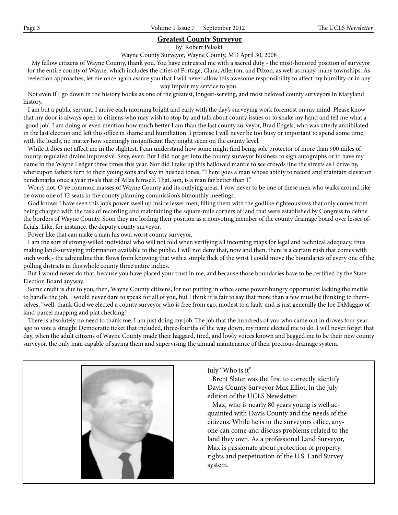#### **Greatest County Surveyor**

By: Robert Pelaski

Wayne County Surveyor, Wayne County, MD April 30, 2008

 My fellow citizens of Wayne County, thank you. You have entrusted me with a sacred duty - the most-honored position of surveyor for the entire county of Wayne, which includes the cities of Portage, Clara, Allerton, and Dixon, as well as many, many townships. As reelection approaches, let me once again assure you that I will never allow this awesome responsibility to affect my humility or in any way impair my service to you.

 Not even if I go down in the history books as one of the greatest, longest-serving, and most beloved county surveyors in Maryland history.

 I am but a public servant. I arrive each morning bright and early with the day's surveying work foremost on my mind. Please know that my door is always open to citizens who may wish to stop by and talk about county issues or to shake my hand and tell me what a "good job" I am doing or even mention how much better I am than the last county surveyor, Brad Engels, who was utterly annihilated in the last election and left this office in shame and humiliation. I promise I will never be too busy or important to spend some time with the locals, no matter how seemingly insignificant they might seem on the county level.

 While it does not affect me in the slightest, I can understand how some might find being sole protector of more than 900 miles of county-regulated drains impressive. Sexy, even. But I did not get into the county surveyor business to sign autographs or to have my name in the Wayne Ledger three times this year. Nor did I take up this hallowed mantle to see crowds line the streets as I drive by, whereupon fathers turn to their young sons and say in hushed tones, "There goes a man whose ability to record and maintain elevation benchmarks once a year rivals that of Atlas himself. That, son, is a man far better than I."

 Worry not, O ye common masses of Wayne County and its outlying areas. I vow never to be one of these men who walks around like he owns one of 12 seats in the county planning commission's bimonthly meetings.

 God knows I have seen this job's power swell up inside lesser men, filling them with the godlike righteousness that only comes from being charged with the task of recording and maintaining the square-mile corners of land that were established by Congress to define the borders of Wayne County. Soon they are lording their position as a nonvoting member of the county drainage board over lesser officials. Like, for instance, the deputy county surveyor.

Power like that can make a man his own worst county surveyor.

 I am the sort of strong-willed individual who will not fold when verifying all incoming maps for legal and technical adequacy, thus making land-surveying information available to the public. I will not deny that, now and then, there is a certain rush that comes with such work - the adrenaline that flows from knowing that with a simple flick of the wrist I could move the boundaries of every one of the polling districts in this whole county three entire inches.

 But I would never do that, because you have placed your trust in me, and because those boundaries have to be certified by the State Election Board anyway.

 Some credit is due to you, then, Wayne County citizens, for not putting in office some power-hungry opportunist lacking the mettle to handle the job. I would never dare to speak for all of you, but I think if is fair to say that more than a few must be thinking to themselves, "well, thank God we elected a county surveyor who is free from ego, modest to a fault, and is just generally the Joe DiMaggio of land-parcel mapping and plat checking."

 There is absolutely no need to thank me. I am just doing my job. The job that the hundreds of you who came out in droves four year ago to vote a straight Democratic ticket that included, three-fourths of the way down, my name elected me to do. I will never forget that day, when the adult citizens of Wayne County made their haggard, tired, and lowly voices known and begged me to be their new county surveyor. the only man capable of saving them and supervising the annual maintenance of their precious drainage system.



July "Who is it"

 Brent Slater was the first to correctly identify Davis County Surveyor Max Elliot, in the July edition of the UCLS Newsletter.

 Max, who is nearly 80 years young is well acquainted with Davis County and the needs of the citizens. While he is in the surveyors office, anyone can come and discuss problems related to the land they own. As a professional Land Surveyor, Max is passionate about protection of property rights and perpetuation of the U.S. Land Survey system.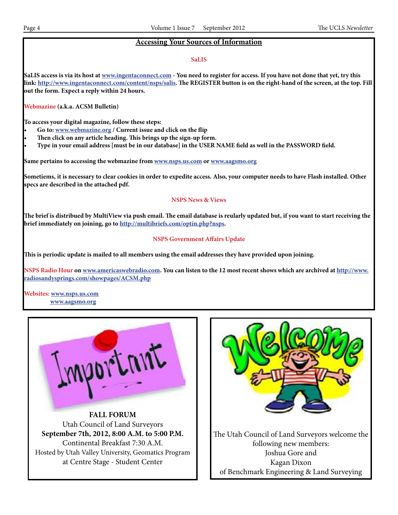# **Accessing Your Sources of Information**

#### **SaLIS**

**SaLIS access is via its host at www.ingentaconnect.com - You need to register for access. If you have not done that yet, try this link: http://www.ingentaconnect.com/content/nsps/salis. The REGISTER button is on the right-hand of the screen, at the top. Fill out the form. Expect a reply within 24 hours.**

**Webmazine (a.k.a. ACSM Bulletin)**

**To access your digital magazine, follow these steps:**

- Go to: www.webmazine.org / Current issue and click on the flip
- Then click on any article heading. This brings up the sign-up form.
- **• Type in your email address [must be in our database] in the USER NAME field as well in the PASSWORD field.**

**Same pertains to accessing the webmazine from www.nsps.us.com or www.aagsmo.org**

**Sometiems, it is necessary to clear cookies in order to expedite access. Also, your computer needs to have Flash installed. Other specs are described in the attached pdf.**

#### **NSPS News & Views**

**The brief is distribued by MultiView via push email. The email database is reularly updated but, if you want to start receiving the brief immediately on joining, go to http://multibriefs.com/optin.php?nsps.**

# **NSPS Government Affairs Update**

**This is periodic update is mailed to all members using the email addresses they have provided upon joining.**

**NSPS Radio Hour on www.americaswebradio.com. You can listen to the 12 most recent shows which are archived at http://www. radiosandysprings.com/showpages/ACSM.php**

**Websites: www.nsps.us.com www.aagsmo.org**



**FALL FORUM** Utah Council of Land Surveyors **September 7th, 2012, 8:00 A.M. to 5:00 P.M.** Continental Breakfast 7:30 A.M. Hosted by Utah Valley University, Geomatics Program at Centre Stage - Student Center

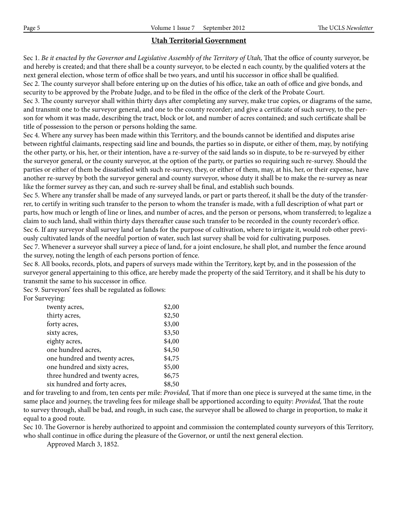# **Utah Territorial Government**

Sec 1. *Be it enacted by the Governor and Legislative Assembly of the Territory of Utah*, That the office of county surveyor, be and hereby is created; and that there shall be a county surveyor, to be elected n each county, by the qualified voters at the next general election, whose term of office shall be two years, and until his successor in office shall be qualified. Sec 2. The county surveyor shall before entering up on the duties of his office, take an oath of office and give bonds, and security to be approved by the Probate Judge, and to be filed in the office of the clerk of the Probate Court.

Sec 3. The county surveyor shall within thirty days after completing any survey, make true copies, or diagrams of the same, and transmit one to the surveyor general, and one to the county recorder; and give a certificate of such survey, to the person for whom it was made, describing the tract, block or lot, and number of acres contained; and such certificate shall be title of possession to the person or persons holding the same.

Sec 4. Where any survey has been made within this Territory, and the bounds cannot be identified and disputes arise between rightful claimants, respecting said line and bounds, the parties so in dispute, or either of them, may, by notifying the other party, or his, her, or their intention, have a re-survey of the said lands so in dispute, to be re-surveyed by either the surveyor general, or the county surveyor, at the option of the party, or parties so requiring such re-survey. Should the parties or either of them be dissatisfied with such re-survey, they, or either of them, may, at his, her, or their expense, have another re-survey by both the surveyor general and county surveyor, whose duty it shall be to make the re-survey as near like the former survey as they can, and such re-survey shall be final, and establish such bounds.

Sec 5. Where any transfer shall be made of any surveyed lands, or part or parts thereof, it shall be the duty of the transferrer, to certify in writing such transfer to the person to whom the transfer is made, with a full description of what part or parts, how much or length of line or lines, and number of acres, and the person or persons, whom transferred; to legalize a claim to such land, shall within thirty days thereafter cause such transfer to be recorded in the county recorder's office. Sec 6. If any surveyor shall survey land or lands for the purpose of cultivation, where to irrigate it, would rob other previously cultivated lands of the needful portion of water, such last survey shall be void for cultivating purposes.

Sec 7. Whenever a surveyor shall survey a piece of land, for a joint enclosure, he shall plot, and number the fence around the survey, noting the length of each persons portion of fence.

Sec 8. All books, records, plots, and papers of surveys made within the Territory, kept by, and in the possession of the surveyor general appertaining to this office, are hereby made the property of the said Territory, and it shall be his duty to transmit the same to his successor in office.

Sec 9. Surveyors' fees shall be regulated as follows: For Surveying:

| $\cdots$                        |        |
|---------------------------------|--------|
| twenty acres,                   | \$2,00 |
| thirty acres,                   | \$2,50 |
| forty acres,                    | \$3,00 |
| sixty acres,                    | \$3,50 |
| eighty acres,                   | \$4,00 |
| one hundred acres,              | \$4,50 |
| one hundred and twenty acres,   | \$4,75 |
| one hundred and sixty acres,    | \$5,00 |
| three hundred and twenty acres, | \$6,75 |
| six hundred and forty acres,    | \$8,50 |
|                                 |        |

and for traveling to and from, ten cents per mile: *Provided,* That if more than one piece is surveyed at the same time, in the same place and journey, the traveling fees for mileage shall be apportioned according to equity: *Provided,* That the route to survey through, shall be bad, and rough, in such case, the surveyor shall be allowed to charge in proportion, to make it equal to a good route.

Sec 10. The Governor is hereby authorized to appoint and commission the contemplated county surveyors of this Territory, who shall continue in office during the pleasure of the Governor, or until the next general election.

Approved March 3, 1852.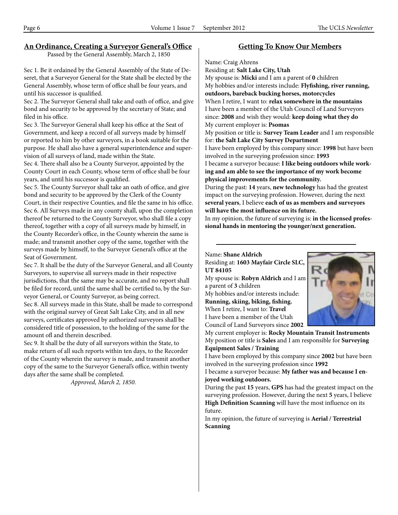# **An Ordinance, Creating a Surveyor General's Office**

Passed by the General Assembly, March 2, 1850

Sec 1. Be it ordained by the General Assembly of the State of Deseret, that a Surveyor General for the State shall be elected by the General Assembly, whose term of office shall be four years, and until his successor is qualified.

Sec 2. The Surveyor General shall take and oath of office, and give bond and security to be approved by the secretary of State; and filed in his office.

Sec 3. The Surveyor General shall keep his office at the Seat of Government, and keep a record of all surveys made by himself or reported to him by other surveyors, in a book suitable for the purpose. He shall also have a general superintendence and supervision of all surveys of land, made within the State.

Sec 4. There shall also be a County Surveyor, appointed by the County Court in each County, whose term of office shall be four years, and until his successor is qualified.

Sec 5. The County Surveyor shall take an oath of office, and give bond and security to be approved by the Clerk of the County Court, in their respective Counties, and file the same in his office. Sec 6. All Surveys made in any county shall, upon the completion thereof be returned to the County Surveyor, who shall file a copy thereof, together with a copy of all surveys made by himself, in the County Recorder's office, in the County wherein the same is made; and transmit another copy of the same, together with the surveys made by himself, to the Surveyor General's office at the Seat of Government.

Sec 7. It shall be the duty of the Surveyor General, and all County Surveyors, to supervise all surveys made in their respective jurisdictions, that the same may be accurate, and no report shall be filed for record, until the same shall be certified to, by the Surveyor General, or County Surveyor, as being correct. Sec 8. All surveys made in this State, shall be made to correspond

with the original survey of Great Salt Lake City, and in all new surveys, certificates approved by authorized surveyors shall be considered title of possession, to the holding of the same for the amount ofl and therein described.

Sec 9. It shall be the duty of all surveyors within the State, to make return of all such reports within ten days, to the Recorder of the County wherein the survey is made, and transmit another copy of the same to the Surveyor General's office, within twenty days after the same shall be completed.

*Approved, March 2, 1850.*

# **Getting To Know Our Members**

Name: Craig Ahrens Residing at: **Salt Lake City, Utah** My spouse is: **Micki** and I am a parent of **0** children My hobbies and/or interests include: **Flyfishing, river running, outdoors, bareback bucking horses, motorcycles** When I retire, I want to: **relax somewhere in the mountains** I have been a member of the Utah Council of Land Surveyors since: **2008** and wish they would: **keep doing what they do** My current employer is: **Psomas** My position or title is: **Survey Team Leader** and I am responsible for: **the Salt Lake City Survey Department** I have been employed by this company since: **1998** but have been involved in the surveying profession since: **1993** I became a surveyor because: **I like being outdoors while working and am able to see the importance of my work become physical improvements for the community.** During the past: **14** years, **new technology** has had the greatest impact on the surveying profession. However, during the next **several years**, I believe **each of us as members and surveyors** 

**will have the most influence on its future.** In my opinion, the future of surveying is: **in the licensed professional hands in mentoring the younger/next generation.**

# Name: **Shane Aldrich**

Residing at: **1603 Mayfair Circle SLC, UT 84105**

My spouse is: **Robyn Aldrich** and I am a parent of **3** children

My hobbies and/or interests include: **Running, skiing, biking, fishing.** When I retire, I want to: **Travel** I have been a member of the Utah Council of Land Surveyors since **2002**



My current employer is: **Rocky Mountain Transit Instruments** My position or title is **Sales** and I am responsible for **Surveying Equipment Sales / Training**

I have been employed by this company since **2002** but have been involved in the surveying profession since **1992**

I became a surveyor because: **My father was and because I enjoyed working outdoors.**

During the past **15** years, **GPS** has had the greatest impact on the surveying profession. However, during the next **5** years, I believe **High Definition Scanning** will have the most influence on its future.

In my opinion, the future of surveying is **Aerial / Terrestrial Scanning**